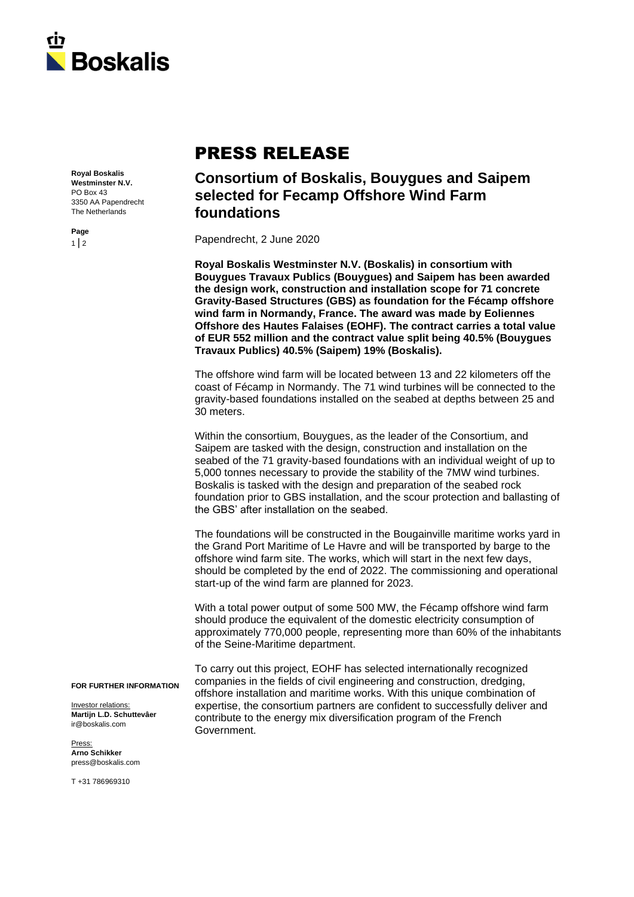

## PRESS RELEASE

**Royal Boskalis Westminster N.V.** PO Box 43 3350 AA Papendrecht The Netherlands

**Consortium of Boskalis, Bouygues and Saipem selected for Fecamp Offshore Wind Farm foundations**

Papendrecht, 2 June 2020

**Royal Boskalis Westminster N.V. (Boskalis) in consortium with Bouygues Travaux Publics (Bouygues) and Saipem has been awarded the design work, construction and installation scope for 71 concrete Gravity-Based Structures (GBS) as foundation for the Fécamp offshore wind farm in Normandy, France. The award was made by Eoliennes Offshore des Hautes Falaises (EOHF). The contract carries a total value of EUR 552 million and the contract value split being 40.5% (Bouygues Travaux Publics) 40.5% (Saipem) 19% (Boskalis).**

The offshore wind farm will be located between 13 and 22 kilometers off the coast of Fécamp in Normandy. The 71 wind turbines will be connected to the gravity-based foundations installed on the seabed at depths between 25 and 30 meters.

Within the consortium, Bouygues, as the leader of the Consortium, and Saipem are tasked with the design, construction and installation on the seabed of the 71 gravity-based foundations with an individual weight of up to 5,000 tonnes necessary to provide the stability of the 7MW wind turbines. Boskalis is tasked with the design and preparation of the seabed rock foundation prior to GBS installation, and the scour protection and ballasting of the GBS' after installation on the seabed.

The foundations will be constructed in the Bougainville maritime works yard in the Grand Port Maritime of Le Havre and will be transported by barge to the offshore wind farm site. The works, which will start in the next few days, should be completed by the end of 2022. The commissioning and operational start-up of the wind farm are planned for 2023.

With a total power output of some 500 MW, the Fécamp offshore wind farm should produce the equivalent of the domestic electricity consumption of approximately 770,000 people, representing more than 60% of the inhabitants of the Seine-Maritime department.

To carry out this project, EOHF has selected internationally recognized companies in the fields of civil engineering and construction, dredging, offshore installation and maritime works. With this unique combination of expertise, the consortium partners are confident to successfully deliver and contribute to the energy mix diversification program of the French Government.

**FOR FURTHER INFORMATION**

Investor relations: **Martijn L.D. Schuttevâer** ir@boskalis.com

Press: **Arno Schikker** press@boskalis.com

T +31 786969310

**Page**  $1 | 2$